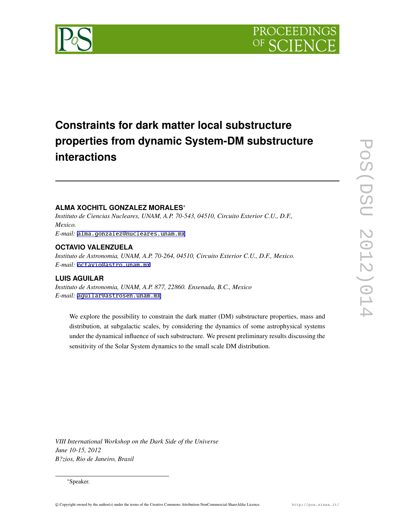

# **Constraints for dark matter local substructure properties from dynamic System-DM substructure interactions**

# **ALMA XOCHITL GONZALEZ MORALES**∗

*Instituto de Ciencias Nucleares, UNAM, A.P. 70-543, 04510, Circuito Exterior C.U., D.F., Mexico.*

*E-mail:* [alma.gonzalez@nucleares.unam.mx](mailto:alma.gonzalez@nucleares.unam.mx)

### **OCTAVIO VALENZUELA**

*Instituto de Astronomia, UNAM, A.P. 70-264, 04510, Circuito Exterior C.U., D.F., Mexico. E-mail:* [octavio@astro.unam.mx](mailto:octavio@astro.unam.mx)

## **LUIS AGUILAR**

*Instituto de Astronomia, UNAM, A.P. 877, 22860. Ensenada, B.C., Mexico E-mail:* [aguilar@astrosen.unam.mx](mailto:aguilar@astrosen.unam.mx)

We explore the possibility to constrain the dark matter (DM) substructure properties, mass and distribution, at subgalactic scales, by considering the dynamics of some astrophysical systems under the dynamical influence of such substructure. We present preliminary results discussing the sensitivity of the Solar System dynamics to the small scale DM distribution.

*VIII International Workshop on the Dark Side of the Universe June 10-15, 2012 B?zios, Rio de Janeiro, Brasil*

<sup>∗</sup>Speaker.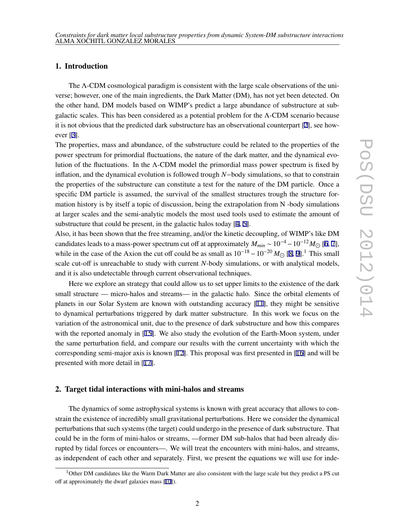# 1. Introduction

The Λ-CDM cosmological paradigm is consistent with the large scale observations of the universe; however, one of the main ingredients, the Dark Matter (DM), has not yet been detected. On the other hand, DM models based on WIMP's predict a large abundance of substructure at subgalactic scales. This has been considered as a potential problem for the Λ-CDM scenario because it is not obvious that the predicted dark substructure has an observational counterpart [[2](#page-6-0)], see however [\[3](#page-6-0)].

The properties, mass and abundance, of the substructure could be related to the properties of the power spectrum for primordial fluctuations, the nature of the dark matter, and the dynamical evolution of the fluctuations. In the  $\Lambda$ -CDM model the primordial mass power spectrum is fixed by inflation, and the dynamical evolution is followed trough *N*−body simulations, so that to constrain the properties of the substructure can constitute a test for the nature of the DM particle. Once a specific DM particle is assumed, the survival of the smallest structures trough the structure formation history is by itself a topic of discussion, being the extrapolation from N -body simulations at larger scales and the semi-analytic models the most used tools used to estimate the amount of substructure that could be present, in the galactic halos today [[4](#page-6-0), [5](#page-6-0)].

Also, it has been shown that the free streaming, and/or the kinetic decoupling, of WIMP's like DM candidates leads to a mass-power spectrum cut off at approximately  $M_{min} \sim 10^{-4} - 10^{-12} M_{\odot}$  [\[6,](#page-7-0) [7\]](#page-7-0), while in the case of the Axion the cut off could be as small as  $10^{-18} - 10^{-20} M_{\odot}$  $10^{-18} - 10^{-20} M_{\odot}$  $10^{-18} - 10^{-20} M_{\odot}$  [8, [9](#page-7-0)].<sup>1</sup> This small scale cut-off is unreachable to study with current *N*-body simulations, or with analytical models, and it is also undetectable through current observational techniques.

Here we explore an strategy that could allow us to set upper limits to the existence of the dark small structure — micro-halos and streams— in the galactic halo. Since the orbital elements of planets in our Solar System are known with outstanding accuracy [[11\]](#page-7-0), they might be sensitive to dynamical perturbations triggered by dark matter substructure. In this work we focus on the variation of the astronomical unit, due to the presence of dark substructure and how this compares with the reported anomaly in [\[15\]](#page-7-0). We also study the evolution of the Earth-Moon system, under the same perturbation field, and compare our results with the current uncertainty with which the corresponding semi-major axis is known [\[12](#page-7-0)]. This proposal was first presented in [[16\]](#page-7-0) and will be presented with more detail in [[17\]](#page-7-0).

### 2. Target tidal interactions with mini-halos and streams

The dynamics of some astrophysical systems is known with great accuracy that allows to constrain the existence of incredibly small gravitational perturbations. Here we consider the dynamical perturbations that such systems (the target) could undergo in the presence of dark substructure. That could be in the form of mini-halos or streams, —former DM sub-halos that had been already disrupted by tidal forces or encounters—. We will treat the encounters with mini-halos, and streams, as independent of each other and separately. First, we present the equations we will use for inde-

<sup>&</sup>lt;sup>1</sup>Other DM candidates like the Warm Dark Matter are also consistent with the large scale but they predict a PS cut off at approximately the dwarf galaxies mass [\[10](#page-7-0)]).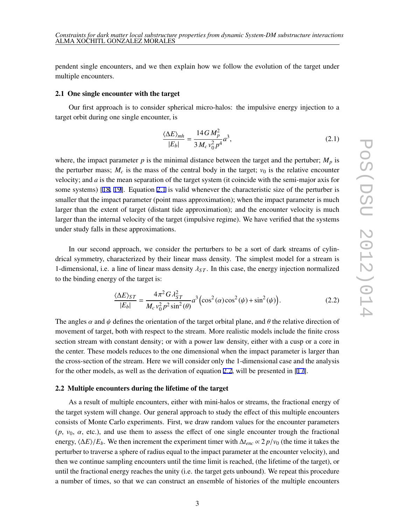pendent single encounters, and we then explain how we follow the evolution of the target under multiple encounters.

#### 2.1 One single encounter with the target

Our first approach is to consider spherical micro-halos: the impulsive energy injection to a target orbit during one single encounter, is

$$
\frac{\langle \Delta E \rangle_{mh}}{|E_b|} = \frac{14 \, G \, M_p^2}{3 \, M_c \, v_0^2 \, p^4} a^3,\tag{2.1}
$$

where, the impact parameter  $p$  is the minimal distance between the target and the pertuber;  $M_p$  is the perturber mass;  $M_c$  is the mass of the central body in the target;  $v_0$  is the relative encounter velocity; and *a* is the mean separation of the target system (it coincide with the semi-major axis for some systems) [[18,](#page-7-0) [19\]](#page-7-0). Equation 2.1 is valid whenever the characteristic size of the perturber is smaller that the impact parameter (point mass approximation); when the impact parameter is much larger than the extent of target (distant tide approximation); and the encounter velocity is much larger than the internal velocity of the target (impulsive regime). We have verified that the systems under study falls in these approximations.

In our second approach, we consider the perturbers to be a sort of dark streams of cylindrical symmetry, characterized by their linear mass density. The simplest model for a stream is 1-dimensional, i.e. a line of linear mass density  $\lambda_{ST}$ . In this case, the energy injection normalized to the binding energy of the target is:

$$
\frac{\langle \Delta E \rangle_{ST}}{|E_b|} = \frac{4\pi^2 G \lambda_{ST}^2}{M_c v_0^2 p^2 \sin^2(\theta)} a^3 \left( \cos^2(\alpha) \cos^2(\psi) + \sin^2(\psi) \right). \tag{2.2}
$$

The angles  $\alpha$  and  $\psi$  defines the orientation of the target orbital plane, and  $\theta$  the relative direction of movement of target, both with respect to the stream. More realistic models include the finite cross section stream with constant density; or with a power law density, either with a cusp or a core in the center. These models reduces to the one dimensional when the impact parameter is larger than the cross-section of the stream. Here we will consider only the 1-dimensional case and the analysis for the other models, as well as the derivation of equation 2.2, will be presented in [[17\]](#page-7-0).

#### 2.2 Multiple encounters during the lifetime of the target

As a result of multiple encounters, either with mini-halos or streams, the fractional energy of the target system will change. Our general approach to study the effect of this multiple encounters consists of Monte Carlo experiments. First, we draw random values for the encounter parameters  $(p, v_0, \alpha,$  etc.), and use them to assess the effect of one single encounter trough the fractional energy,  $\langle \Delta E \rangle / E_b$ . We then increment the experiment timer with  $\Delta t_{enc} \propto 2 p/v_0$  (the time it takes the perturber to traverse a sphere of radius equal to the impact parameter at the encounter velocity), and then we continue sampling encounters until the time limit is reached, (the lifetime of the target), or until the fractional energy reaches the unity (i.e. the target gets unbound). We repeat this procedure a number of times, so that we can construct an ensemble of histories of the multiple encounters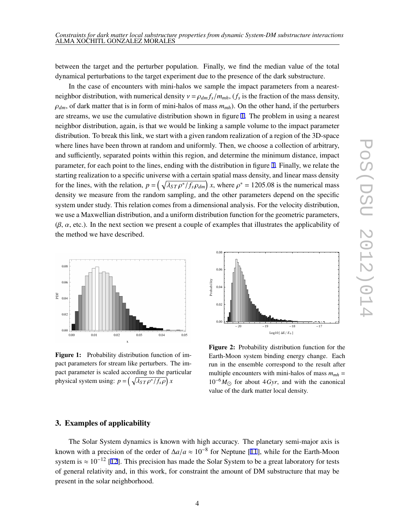<span id="page-3-0"></span>between the target and the perturber population. Finally, we find the median value of the total dynamical perturbations to the target experiment due to the presence of the dark substructure.

In the case of encounters with mini-halos we sample the impact parameters from a nearestneighbor distribution, with numerical density  $v = \rho_{dm} f_s / m_{mh}$ ,  $(f_s$  is the fraction of the mass density,  $\rho_{dm}$ , of dark matter that is in form of mini-halos of mass  $m_{mh}$ ). On the other hand, if the perturbers are streams, we use the cumulative distribution shown in figure 1. The problem in using a nearest neighbor distribution, again, is that we would be linking a sample volume to the impact parameter distribution. To break this link, we start with a given random realization of a region of the 3D-space where lines have been thrown at random and uniformly. Then, we choose a collection of arbitrary, and sufficiently, separated points within this region, and determine the minimum distance, impact parameter, for each point to the lines, ending with the distribution in figure 1. Finally, we relate the starting realization to a specific universe with a certain spatial mass density, and linear mass density for the lines, with the relation,  $p = \left(\sqrt{\lambda_{ST} \rho^* / f_s \rho_{dm}}\right) x$ , where  $\rho^* = 1205.08$  is the numerical mass density we measure from the random sampling, and the other parameters depend on the specific system under study. This relation comes from a dimensional analysis. For the velocity distribution, we use a Maxwellian distribution, and a uniform distribution function for the geometric parameters,  $(\beta, \alpha, \text{etc.})$ . In the next section we present a couple of examples that illustrates the applicability of the method we have described.



Figure 1: Probability distribution function of impact parameters for stream like perturbers. The impact parameter is scaled according to the particular physical system using:  $p = \left(\sqrt{\lambda_{ST} \rho^* / f_s \rho}\right) x$ 



Figure 2: Probability distribution function for the Earth-Moon system binding energy change. Each run in the ensemble correspond to the result after multiple encounters with mini-halos of mass  $m_{mh}$  =  $10^{-6} M_{\odot}$  for about 4*Gyr*, and with the canonical value of the dark matter local density.

# 3. Examples of applicability

The Solar System dynamics is known with high accuracy. The planetary semi-major axis is known with a precision of the order of  $\Delta a/a \approx 10^{-8}$  for Neptune [\[11](#page-7-0)], while for the Earth-Moon system is  $\approx 10^{-12}$  [[12\]](#page-7-0). This precision has made the Solar System to be a great laboratory for tests of general relativity and, in this work, for constraint the amount of DM substructure that may be present in the solar neighborhood.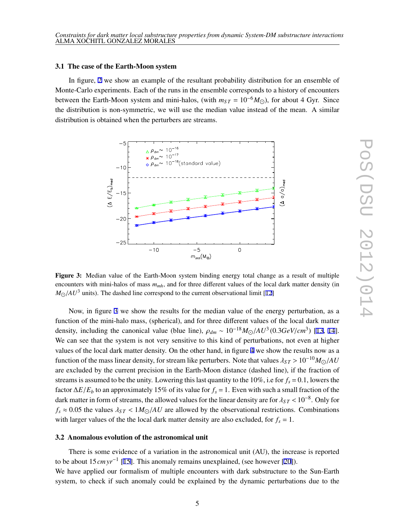#### 3.1 The case of the Earth-Moon system

In figure, [2](#page-3-0) we show an example of the resultant probability distribution for an ensemble of Monte-Carlo experiments. Each of the runs in the ensemble corresponds to a history of encounters between the Earth-Moon system and mini-halos, (with  $m_{ST} = 10^{-6} M_{\odot}$ ), for about 4 Gyr. Since the distribution is non-symmetric, we will use the median value instead of the mean. A similar distribution is obtained when the perturbers are streams.



Figure 3: Median value of the Earth-Moon system binding energy total change as a result of multiple encounters with mini-halos of mass *mmh*, and for three different values of the local dark matter density (in  $M_{\odot}/AU^3$  units). The dashed line correspond to the current observational limit [\[12](#page-7-0)]

Now, in figure 3 we show the results for the median value of the energy perturbation, as a function of the mini-halo mass, (spherical), and for three different values of the local dark matter density, including the canonical value (blue line),  $\rho_{dm} \sim 10^{-18} M_{\odot}/AU^3 (0.3 GeV/cm^3)$  [[13,](#page-7-0) [14\]](#page-7-0). We can see that the system is not very sensitive to this kind of perturbations, not even at higher values of the local dark matter density. On the other hand, in figure [4](#page-5-0) we show the results now as a function of the mass linear density, for stream like perturbers. Note that values  $\lambda_{ST} > 10^{-10} M_{\odot}/AU$ are excluded by the current precision in the Earth-Moon distance (dashed line), if the fraction of streams is assumed to be the unity. Lowering this last quantity to the 10%, i.e for  $f_s = 0.1$ , lowers the factor  $\Delta E/E_b$  to an approximately 15% of its value for  $f_s = 1$ . Even with such a small fraction of the dark matter in form of streams, the allowed values for the linear density are for  $\lambda_{ST}$  < 10<sup>-8</sup>. Only for  $f_s \approx 0.05$  the values  $\lambda_{ST} < 1 M_{\odot}/AU$  are allowed by the observational restrictions. Combinations with larger values of the the local dark matter density are also excluded, for  $f_s = 1$ .

### 3.2 Anomalous evolution of the astronomical unit

There is some evidence of a variation in the astronomical unit (AU), the increase is reported to be about 15*cmyr*−<sup>1</sup> [[15\]](#page-7-0). This anomaly remains unexplained, (see however [\[20](#page-7-0)]). We have applied our formalism of multiple encounters with dark substructure to the Sun-Earth system, to check if such anomaly could be explained by the dynamic perturbations due to the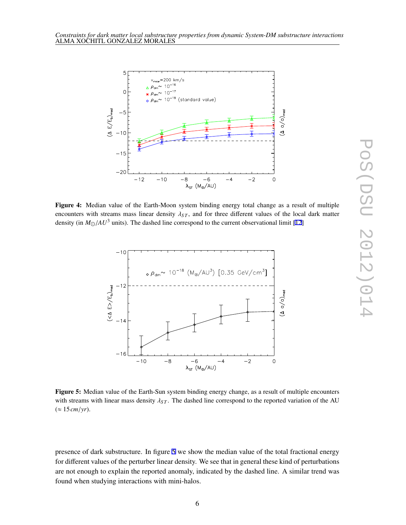<span id="page-5-0"></span>

Figure 4: Median value of the Earth-Moon system binding energy total change as a result of multiple encounters with streams mass linear density  $\lambda_{ST}$ , and for three different values of the local dark matter density (in  $M_{\odot}/AU^3$  units). The dashed line correspond to the current observational limit [\[12](#page-7-0)]



Figure 5: Median value of the Earth-Sun system binding energy change, as a result of multiple encounters with streams with linear mass density  $\lambda_{ST}$ . The dashed line correspond to the reported variation of the AU  $(\approx 15 \, \text{cm/yr}).$ 

presence of dark substructure. In figure 5 we show the median value of the total fractional energy for different values of the perturber linear density. We see that in general these kind of perturbations are not enough to explain the reported anomaly, indicated by the dashed line. A similar trend was found when studying interactions with mini-halos.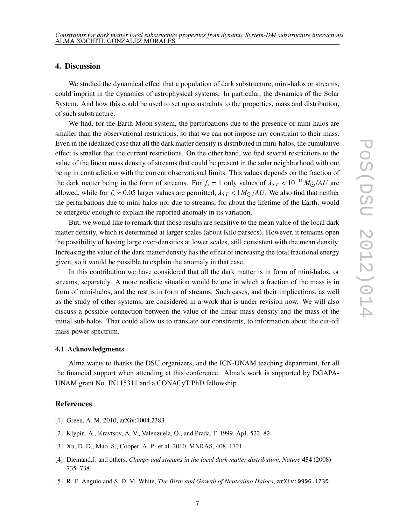# <span id="page-6-0"></span>4. Discussion

We studied the dynamical effect that a population of dark substructure, mini-halos or streams, could imprint in the dynamics of astrophysical systems. In particular, the dynamics of the Solar System. And how this could be used to set up constraints to the properties, mass and distribution, of such substructure.

We find, for the Earth-Moon system, the perturbations due to the presence of mini-halos are smaller than the observational restrictions, so that we can not impose any constraint to their mass. Even in the idealized case that all the dark matter density is distributed in mini-halos, the cumulative effect is smaller that the current restrictions. On the other hand, we find several restrictions to the value of the linear mass density of streams that could be present in the solar neighborhood with out being in contradiction with the current observational limits. This values depends on the fraction of the dark matter being in the form of streams. For  $f_s = 1$  only values of  $\lambda_{ST} < 10^{-10} M_{\odot}/AU$  are allowed, while for  $f_s \approx 0.05$  larger values are permitted,  $\lambda_{ST} < 1 M_{\odot}/AU$ . We also find that neither the perturbations due to mini-halos nor due to streams, for about the lifetime of the Earth, would be energetic enough to explain the reported anomaly in its variation.

But, we would like to remark that those results are sensitive to the mean value of the local dark matter density, which is determined at larger scales (about Kilo parsecs). However, it remains open the possibility of having large over-densities at lower scales, still consistent with the mean density. Increasing the value of the dark matter density has the effect of increasing the total fractional energy given, so it would be possible to explain the anomaly in that case.

In this contribution we have considered that all the dark matter is in form of mini-halos, or streams, separately. A more realistic situation would be one in which a fraction of the mass is in form of mini-halos, and the rest is in form of streams. Such cases, and their implications, as well as the study of other systems, are considered in a work that is under revision now. We will also discuss a possible connection between the value of the linear mass density and the mass of the initial sub-halos. That could allow us to translate our constraints, to information about the cut-off mass power spectrum.

### 4.1 Acknowledgments

Alma wants to thanks the DSU organizers, and the ICN-UNAM teaching department, for all the financial support when attending at this conference. Alma's work is supported by DGAPA-UNAM grant No. IN115311 and a CONACyT PhD fellowship.

#### References

- [1] Green, A. M. 2010, arXiv:1004.2383
- [2] Klypin, A., Kravtsov, A. V., Valenzuela, O., and Prada, F. 1999, ApJ, 522, 82
- [3] Xu, D. D., Mao, S., Cooper, A. P., et al. 2010, MNRAS, 408, 1721
- [4] Diemand,J. and others, *Clumps and streams in the local dark matter distribution*, *Nature* 454 (2008) 735–738.
- [5] R. E. Angulo and S. D. M. White, *The Birth and Growth of Neutralino Haloes*, arXiv:0906.1730.